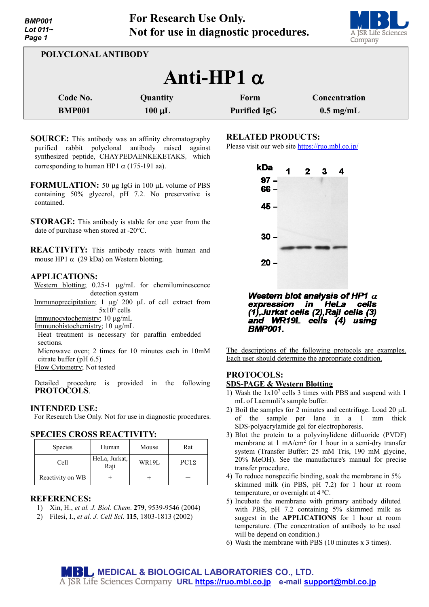

| POLYCLONAL ANTIBODY                                                                                                         |  |  |  |  |
|-----------------------------------------------------------------------------------------------------------------------------|--|--|--|--|
| Anti-HP1 $\alpha$                                                                                                           |  |  |  |  |
| Code No.<br>Quantity<br>Concentration<br>Form<br><b>BMP001</b><br>$100 \mu L$<br>$0.5 \text{ mg/mL}$<br><b>Purified IgG</b> |  |  |  |  |

- **SOURCE:** This antibody was an affinity chromatography purified rabbit polyclonal antibody raised against synthesized peptide, CHAYPEDAENKEKETAKS, which corresponding to human HP1  $\alpha$  (175-191 aa).
- **FORMULATION:** 50 µg IgG in 100 µL volume of PBS containing 50% glycerol, pH 7.2. No preservative is contained.
- **STORAGE:** This antibody is stable for one year from the date of purchase when stored at -20°C.

**REACTIVITY:** This antibody reacts with human and mouse HP1  $\alpha$  (29 kDa) on Western blotting.

## **APPLICATIONS:**

Western blotting; 0.25-1 µg/mL for chemiluminescence detection system

Immunoprecipitation; 1 µg/ 200 µL of cell extract from  $5x10^6$  cells

Immunocytochemistry; 10 µg/mL

Immunohistochemistry; 10 µg/mL

Heat treatment is necessary for paraffin embedded sections.

Microwave oven; 2 times for 10 minutes each in 10mM citrate buffer (pH 6.5)

Flow Cytometry; Not tested

Detailed procedure is provided in the following **PROTOCOLS**.

# **INTENDED USE:**

For Research Use Only. Not for use in diagnostic procedures.

## **SPECIES CROSS REACTIVITY:**

| Species          | Human                 | Mouse | Rat  |
|------------------|-----------------------|-------|------|
| Cell             | HeLa, Jurkat,<br>Raji | WR19L | PC12 |
| Reactivity on WB |                       |       |      |

# **REFERENCES:**

- 1) Xin, H., *et al. J. Biol. Chem*. **279**, 9539-9546 (2004)
- 2) Filesi, I., *et al. J. Cell Sci*. **115**, 1803-1813 (2002)

# **RELATED PRODUCTS:**

Please visit our web site<https://ruo.mbl.co.jp/>



Western blot analysis of HP1  $\alpha$ expression HeLa in cells (1), Jurkat cells (2), Raji cells (3) and WR19L cells (4) using **BMP001.** 

The descriptions of the following protocols are examples. Each user should determine the appropriate condition.

# **PROTOCOLS: SDS-PAGE & Western Blotting**

- 1) Wash the  $1x10^7$  cells 3 times with PBS and suspend with 1 mL of Laemmli's sample buffer.
- 2) Boil the samples for 2 minutes and centrifuge. Load 20 µL of the sample per lane in a 1 mm thick SDS-polyacrylamide gel for electrophoresis.
- 3) Blot the protein to a polyvinylidene difluoride (PVDF) membrane at 1 mA/cm<sup>2</sup> for 1 hour in a semi-dry transfer system (Transfer Buffer: 25 mM Tris, 190 mM glycine, 20% MeOH). See the manufacture's manual for precise transfer procedure.
- 4) To reduce nonspecific binding, soak the membrane in 5% skimmed milk (in PBS, pH 7.2) for 1 hour at room temperature, or overnight at 4 °C.
- 5) Incubate the membrane with primary antibody diluted with PBS, pH 7.2 containing 5% skimmed milk as suggest in the **APPLICATIONS** for 1 hour at room temperature. (The concentration of antibody to be used will be depend on condition.)
- 6) Wash the membrane with PBS (10 minutes x 3 times).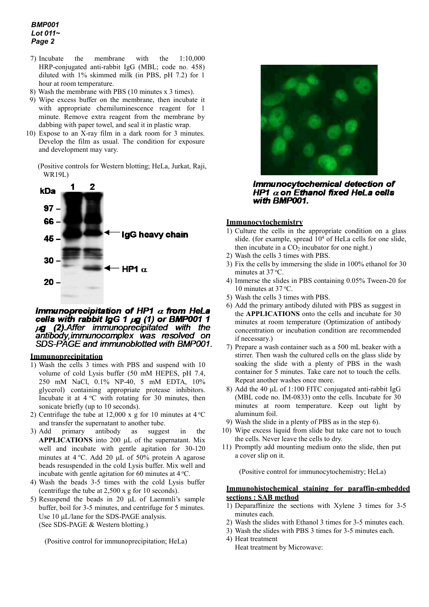## *BMP001 Lot 011~ Page 2*

- 7) Incubate the membrane with the 1:10,000 HRP-conjugated anti-rabbit IgG (MBL; code no. 458) diluted with 1% skimmed milk (in PBS, pH 7.2) for 1 hour at room temperature.
- 8) Wash the membrane with PBS (10 minutes x 3 times).
- 9) Wipe excess buffer on the membrane, then incubate it with appropriate chemiluminescence reagent for 1 minute. Remove extra reagent from the membrane by dabbing with paper towel, and seal it in plastic wrap.
- 10) Expose to an X-ray film in a dark room for 3 minutes. Develop the film as usual. The condition for exposure and development may vary.
	- (Positive controls for Western blotting; HeLa, Jurkat, Raji, WR19L)



#### Immunoprecipitation of HP1  $\alpha$  from HeLa cells with rabbit IgG 1 µg (1) or BMP001 1 (2) Affer immunoprecipitated with the  $\mu$ g antibody, immunocomplex was resolved on SDS-PAGE and immunoblotted with BMP001.

#### **Immunoprecipitation**

- 1) Wash the cells 3 times with PBS and suspend with 10 volume of cold Lysis buffer (50 mM HEPES, pH 7.4, 250 mM NaCl, 0.1% NP-40, 5 mM EDTA, 10% glycerol) containing appropriate protease inhibitors. Incubate it at  $4^{\circ}$ C with rotating for 30 minutes, then sonicate briefly (up to 10 seconds).
- 2) Centrifuge the tube at 12,000 x g for 10 minutes at  $4^{\circ}$ C and transfer the supernatant to another tube.
- 3) Add primary antibody as suggest in the **APPLICATIONS** into 200 µL of the supernatant. Mix well and incubate with gentle agitation for 30-120 minutes at  $4^{\circ}$ C. Add 20 µL of 50% protein A agarose beads resuspended in the cold Lysis buffer. Mix well and incubate with gentle agitation for 60 minutes at  $4^{\circ}$ C.
- 4) Wash the beads 3-5 times with the cold Lysis buffer (centrifuge the tube at 2,500 x g for 10 seconds).
- 5) Resuspend the beads in 20 µL of Laemmli's sample buffer, boil for 3-5 minutes, and centrifuge for 5 minutes. Use 10 µL/lane for the SDS-PAGE analysis. (See SDS-PAGE & Western blotting.)

(Positive control for immunoprecipitation; HeLa)



Immunocytochemical detection of HP1  $\alpha$  on Ethanol fixed HeLa cells with BMP001.

### **Immunocytochemistry**

- 1) Culture the cells in the appropriate condition on a glass slide. (for example, spread  $10<sup>4</sup>$  of HeLa cells for one slide, then incubate in a CO<sub>2</sub> incubator for one night.)
- 2) Wash the cells 3 times with PBS.
- 3) Fix the cells by immersing the slide in 100% ethanol for 30 minutes at 37 °C.
- 4) Immerse the slides in PBS containing 0.05% Tween-20 for 10 minutes at 37 °C.
- 5) Wash the cells 3 times with PBS.
- 6) Add the primary antibody diluted with PBS as suggest in the **APPLICATIONS** onto the cells and incubate for 30 minutes at room temperature (Optimization of antibody concentration or incubation condition are recommended if necessary.)
- 7) Prepare a wash container such as a 500 mL beaker with a stirrer. Then wash the cultured cells on the glass slide by soaking the slide with a plenty of PBS in the wash container for 5 minutes. Take care not to touch the cells. Repeat another washes once more.
- 8) Add the 40 µL of 1:100 FITC conjugated anti-rabbit IgG (MBL code no. IM-0833) onto the cells. Incubate for 30 minutes at room temperature. Keep out light by aluminum foil.
- 9) Wash the slide in a plenty of PBS as in the step 6).
- 10) Wipe excess liquid from slide but take care not to touch the cells. Never leave the cells to dry.
- 11) Promptly add mounting medium onto the slide, then put a cover slip on it.

(Positive control for immunocytochemistry; HeLa)

### **Immunohistochemical staining for paraffin-embedded sections : SAB method**

- 1) Deparaffinize the sections with Xylene 3 times for 3-5 minutes each.
- 2) Wash the slides with Ethanol 3 times for 3-5 minutes each.
- 3) Wash the slides with PBS 3 times for 3-5 minutes each. 4) Heat treatment
	- Heat treatment by Microwave: